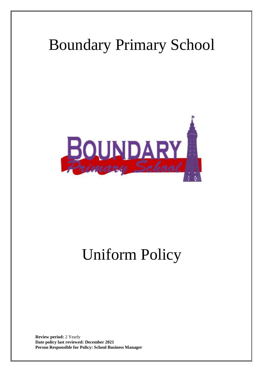## Boundary Primary School



# Uniform Policy

**Review period:** 2 Yearly **Date policy last reviewed: December 2021 Person Responsible for Policy: School Business Manager**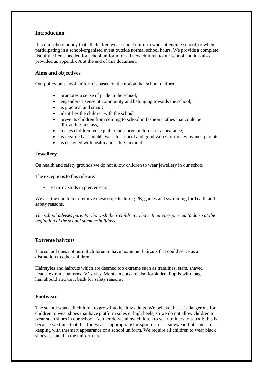#### **Introduction**

It is our school policy that all children wear school uniform when attending school, or when participating in a school-organised event outside normal school hours. We provide a complete list of the items needed for school uniform for all new children to our school and it is also provided as appendix A at the end of this document.

#### **Aims and objectives**

Our policy on school uniform is based on the notion that school uniform:

- promotes a sense of pride in the school;
- engenders a sense of community and belonging towards the school;
- is practical and smart;
- identifies the children with the school;
- prevents children from coming to school in fashion clothes that could be distracting in class;
- makes children feel equal to their peers in terms of appearance;
- is regarded as suitable wear for school and good value for money by mostparents;
- is designed with health and safety in mind.

#### **Jewellery**

On health and safety grounds we do not allow children to wear jewellery in our school.

The exceptions to this rule are:

ear-ring studs in pierced ears

We ask the children to remove these objects during PE, games and swimming for health and safety reasons.

*The school advises parents who wish their children to have their ears pierced to do so at the beginning of the school summer holidays.*

#### **Extreme haircuts**

The school does not permit children to have 'extreme' haircuts that could serve as a distraction to other children.

Hairstyles and haircuts which are deemed too extreme such as tramlines, stars, shaved heads, extreme patterns 'V' styles, Mohican cuts are also forbidden. Pupils with long hair should also tie it back for safety reasons.

#### **Footwear**

The school wants all children to grow into healthy adults. We believe that it is dangerous for children to wear shoes that have platform soles or high heels, so we do not allow children to wear such shoes in our school. Neither do we allow children to wear trainers to school; this is because we think that this footwear is appropriate for sport or for leisurewear, but is not in keeping with thesmart appearance of a school uniform. We require all children to wear black shoes as stated in the uniform list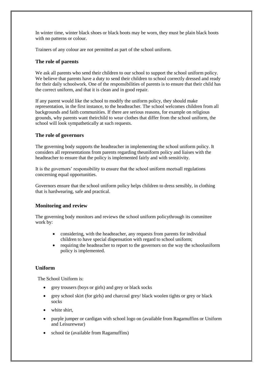In winter time, winter black shoes or black boots may be worn, they must be plain black boots with no patterns or colour.

Trainers of any colour are not permitted as part of the school uniform.

#### **The role of parents**

We ask all parents who send their children to our school to support the school uniform policy. We believe that parents have a duty to send their children to school correctly dressed and ready for their daily schoolwork. One of the responsibilities of parents is to ensure that their child has the correct uniform, and that it is clean and in good repair.

If any parent would like the school to modify the uniform policy, they should make representation, in the first instance, to the headteacher. The school welcomes children from all backgrounds and faith communities. If there are serious reasons, for example on religious grounds, why parents want theirchild to wear clothes that differ from the school uniform, the school will look sympathetically at such requests.

#### **The role of governors**

The governing body supports the headteacher in implementing the school uniform policy. It considers all representations from parents regarding theuniform policy and liaises with the headteacher to ensure that the policy is implemented fairly and with sensitivity.

It is the governors' responsibility to ensure that the school uniform meetsall regulations concerning equal opportunities.

Governors ensure that the school uniform policy helps children to dress sensibly, in clothing that is hardwearing, safe and practical.

#### **Monitoring and review**

The governing body monitors and reviews the school uniform policythrough its committee work by:

- considering, with the headteacher, any requests from parents for individual children to have special dispensation with regard to school uniform;
- requiring the headteacher to report to the governors on the way the schooluniform policy is implemented.

#### **Uniform**

The School Uniform is:

- grey trousers (boys or girls) and grey or black socks
- grey school skirt (for girls) and charcoal grey/ black woolen tights or grey or black socks
- white shirt,
- purple jumper or cardigan with school logo on (available from Ragamuffins or Uniform and Leisurewear)
- school tie (available from Ragamuffins)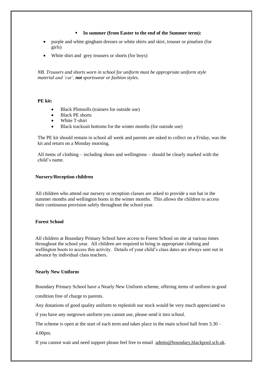#### **In summer (from Easter to the end of the Summer term):**

- purple and white gingham dresses or white shirts and skirt, trouser or pinafore (for girls)
- White shirt and grey trousers or shorts (for boys)

*NB. Trousers and shorts worn in school for uniform must be appropriate uniform style material and 'cut', not sportswear or fashion styles.*

#### **PE kit:**

- Black Plimsolls (trainers for outside use)
- Black PE shorts
- White T-shirt
- Black tracksuit bottoms for the winter months (for outside use)

The PE kit should remain in school all week and parents are asked to collect on a Friday, was the kit and return on a Monday morning.

All items of clothing – including shoes and wellingtons – should be clearly marked with the child's name.

#### **Nursery/Reception children**

All children who attend our nursery or reception classes are asked to provide a sun hat in the summer months and wellington boots in the winter months. This allows the children to access their continuous provision safely throughout the school year.

#### **Forest School**

All children at Boundary Primary School have access to Forest School on site at various times throughout the school year. All children are required to bring in appropriate clothing and wellington boots to access this activity. Details of your child's class dates are always sent out in advance by individual class teachers.

#### **Nearly New Uniform**

Boundary Primary School have a Nearly New Uniform scheme, offering items of uniform in good condition free of charge to parents.

Any donations of good quality uniform to replenish our stock would be very much appreciated so

if you have any outgrown uniform you cannot use, please send it into school.

The scheme is open at the start of each term and takes place in the main school hall from 3.30 –

4.00pm.

If you cannot wait and need support please feel free to email [admin@boundary,blackpool.sch.uk.](mailto:admin@boundary,blackpool.sch.uk)